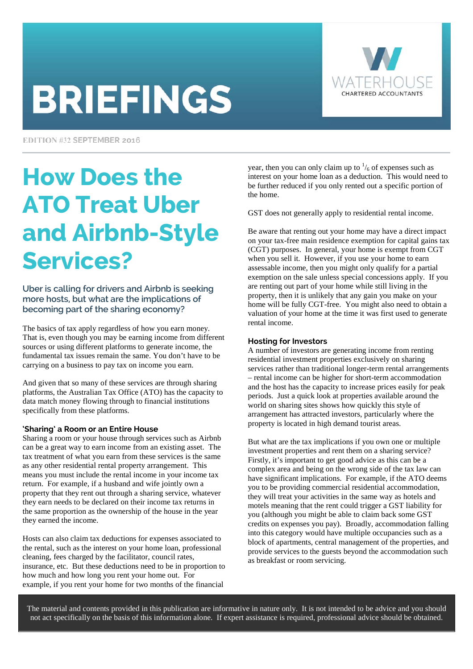# **BRIEFINGS**



EDITION #32 SEPTEMBER 2016

## How Does the ATO Treat Uber and Airbnb-Style Services?

Uber is calling for drivers and Airbnb is seeking more hosts, but what are the implications of becoming part of the sharing economy?

The basics of tax apply regardless of how you earn money. That is, even though you may be earning income from different sources or using different platforms to generate income, the fundamental tax issues remain the same. You don't have to be carrying on a business to pay tax on income you earn.

And given that so many of these services are through sharing platforms, the Australian Tax Office (ATO) has the capacity to data match money flowing through to financial institutions specifically from these platforms.

#### **'Sharing' a Room or an Entire House**

Sharing a room or your house through services such as Airbnb can be a great way to earn income from an existing asset. The tax treatment of what you earn from these services is the same as any other residential rental property arrangement. This means you must include the rental income in your income tax return. For example, if a husband and wife jointly own a property that they rent out through a sharing service, whatever they earn needs to be declared on their income tax returns in the same proportion as the ownership of the house in the year they earned the income.

Hosts can also claim tax deductions for expenses associated to the rental, such as the interest on your home loan, professional cleaning, fees charged by the facilitator, council rates, insurance, etc. But these deductions need to be in proportion to how much and how long you rent your home out. For example, if you rent your home for two months of the financial

year, then you can only claim up to  $\frac{1}{6}$  of expenses such as interest on your home loan as a deduction. This would need to be further reduced if you only rented out a specific portion of the home.

GST does not generally apply to residential rental income.

Be aware that renting out your home may have a direct impact on your tax-free main residence exemption for capital gains tax (CGT) purposes. In general, your home is exempt from CGT when you sell it. However, if you use your home to earn assessable income, then you might only qualify for a partial exemption on the sale unless special concessions apply. If you are renting out part of your home while still living in the property, then it is unlikely that any gain you make on your home will be fully CGT-free. You might also need to obtain a valuation of your home at the time it was first used to generate rental income.

#### **Hosting for Investors**

A number of investors are generating income from renting residential investment properties exclusively on sharing services rather than traditional longer-term rental arrangements – rental income can be higher for short-term accommodation and the host has the capacity to increase prices easily for peak periods. Just a quick look at properties available around the world on sharing sites shows how quickly this style of arrangement has attracted investors, particularly where the property is located in high demand tourist areas.

But what are the tax implications if you own one or multiple investment properties and rent them on a sharing service? Firstly, it's important to get good advice as this can be a complex area and being on the wrong side of the tax law can have significant implications. For example, if the ATO deems you to be providing commercial residential accommodation, they will treat your activities in the same way as hotels and motels meaning that the rent could trigger a GST liability for you (although you might be able to claim back some GST credits on expenses you pay). Broadly, accommodation falling into this category would have multiple occupancies such as a block of apartments, central management of the properties, and provide services to the guests beyond the accommodation such as breakfast or room servicing.

The material and contents provided in this publication are informative in nature only. It is not intended to be advice and you should not act specifically on the basis of this information alone. If expert assistance is required, professional advice should be obtained.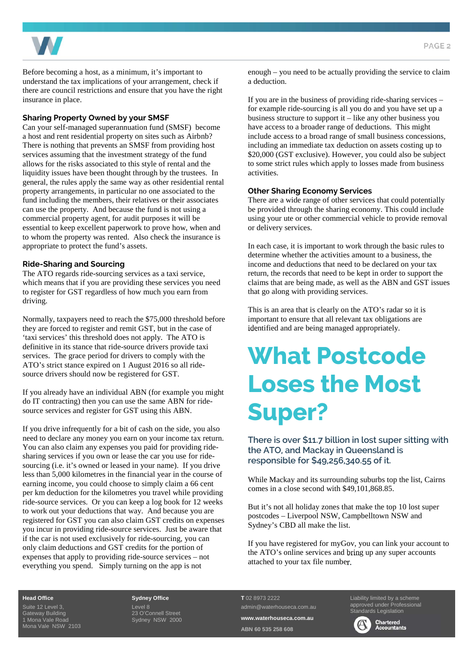

Before becoming a host, as a minimum, it's important to understand the tax implications of your arrangement, check if there are council restrictions and ensure that you have the right insurance in place.

#### **Sharing Property Owned by your SMSF**

Can your self-managed superannuation fund (SMSF) become a host and rent residential property on sites such as Airbnb? There is nothing that prevents an SMSF from providing host services assuming that the investment strategy of the fund allows for the risks associated to this style of rental and the liquidity issues have been thought through by the trustees. In general, the rules apply the same way as other residential rental property arrangements, in particular no one associated to the fund including the members, their relatives or their associates can use the property. And because the fund is not using a commercial property agent, for audit purposes it will be essential to keep excellent paperwork to prove how, when and to whom the property was rented. Also check the insurance is appropriate to protect the fund's assets.

#### **Ride-Sharing and Sourcing**

The ATO regards ride-sourcing services as a taxi service, which means that if you are providing these services you need to register for GST regardless of how much you earn from driving.

Normally, taxpayers need to reach the \$75,000 threshold before they are forced to register and remit GST, but in the case of 'taxi services' this threshold does not apply. The ATO is definitive in its stance that ride-source drivers provide taxi services. The grace period for drivers to comply with the ATO's strict stance expired on 1 August 2016 so all ridesource drivers should now be registered for GST.

If you already have an individual ABN (for example you might do IT contracting) then you can use the same ABN for ridesource services and register for GST using this ABN.

If you drive infrequently for a bit of cash on the side, you also need to declare any money you earn on your income tax return. You can also claim any expenses you paid for providing ridesharing services if you own or lease the car you use for ridesourcing (i.e. it's owned or leased in your name). If you drive less than 5,000 kilometres in the financial year in the course of earning income, you could choose to simply claim a 66 cent per km deduction for the kilometres you travel while providing ride-source services. Or you can keep a log book for 12 weeks to work out your deductions that way. And because you are registered for GST you can also claim GST credits on expenses you incur in providing ride-source services. Just be aware that if the car is not used exclusively for ride-sourcing, you can only claim deductions and GST credits for the portion of expenses that apply to providing ride-source services – not everything you spend. Simply turning on the app is not

enough – you need to be actually providing the service to claim a deduction.

If you are in the business of providing ride-sharing services – for example ride-sourcing is all you do and you have set up a business structure to support it – like any other business you have access to a broader range of deductions. This might include access to a broad range of small business concessions, including an immediate tax deduction on assets costing up to \$20,000 (GST exclusive). However, you could also be subject to some strict rules which apply to losses made from business activities.

#### **Other Sharing Economy Services**

There are a wide range of other services that could potentially be provided through the sharing economy. This could include using your ute or other commercial vehicle to provide removal or delivery services.

In each case, it is important to work through the basic rules to determine whether the activities amount to a business, the income and deductions that need to be declared on your tax return, the records that need to be kept in order to support the claims that are being made, as well as the ABN and GST issues that go along with providing services.

This is an area that is clearly on the ATO's radar so it is important to ensure that all relevant tax obligations are identified and are being managed appropriately.

### What Postcode Loses the Most Super?

There is over \$11.7 billion in lost super sitting with the ATO, and Mackay in Queensland is responsible for \$49,256,340.55 of it.

While Mackay and its surrounding suburbs top the list, Cairns comes in a close second with \$49,101,868.85.

But it's not all holiday zones that make the top 10 lost super postcodes – Liverpool NSW, Campbelltown NSW and Sydney's CBD all make the list.

If you have registered for myGov, you can link your account to the ATO's online services and bring up any super accounts attached to your tax file number.

#### **Head Office**

Suite 12 Level 3, Gateway Building 1 Mona Vale Road Mona Vale NSW 2103

#### **Sydney Office**

Level 8 23 O'Connell Street Sydney NSW 2000 **T** 02 8973 2222 admin@waterhouseca.com.au **www.waterhouseca.com.au** 

**ABN 60 535 258 608** 

Liability limited by a scheme approved under Professional Standards Legislation